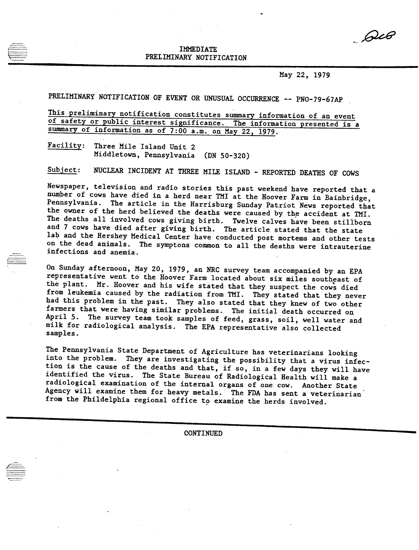*\_\_,62d?*

## IMMEDIATE PRELIMINARY NOTIFICATION

May 22, 1979

PRELIMINARY NOTIFICATION OF EVENT OR UNUSUAL OCCURRENCE -- PNO-79-67AP

This preliminary notification constitutes summary information of an event of safety or public interest significance. The information presented is a summary of information as of 7:00 a.m. on May 22, 1979.

Facility: Three Mile Island Unit 2 Middletown, Pennsylvania (DN 50-320)

Subject: NUCLEAR INCIDENT AT THREE MILE ISLAND - REPORTED DEATHS OF COWS

Newspaper, television and radio stories this past weekend have reported that a numper of cows have died in a herd near TMI at the Hoover Farm in Bainbridge, Pennsylvania. The article in the Harrisburg Sunday Patriot News reported that the owner of the herd believed the deaths were caused by the accident at TMI. The deaths all involved cows giving birth. Twelve calves have been stillborn and 7 cows have died after giving birth. The article stated that the state lab and the Hershey Medical Center have conducted post mortems and other tests on the dead animals. The symptons common to all the deaths were intrauterine infections and anemia.

On Sunday afternoon, May 20, 1979, an NRC survey team accompanied by an EPA representative went to the Hoover Farm located about six miles southeast of the plant. Mr. Hoover and his wife stated that they suspect the cows died from leukemia caused by the radiation from TMI. They stated that they never had this problem in the past. They also stated that they knew of two other farmers that were having similar problems. The initial death occurred on April 5. The survey team took samples of feed, grass, soil, well water and milk for radiological analysis. The EPA representative also collected samples.

The Pennsylvania State Department of Agriculture has veterinarians looking into the problem. They are investigating the possibility that a virus infection is the cause of the deaths and that, if so, in a few days they will have identified the virus. The State Bureau of Radiological Health will make a radiological examination of the internal organs of one cow. Another State Agency will examine them for heavy metals. The FDA has sent a veterinarian from the Phildelphia regional office to examine the herds involved.

CONTINUED